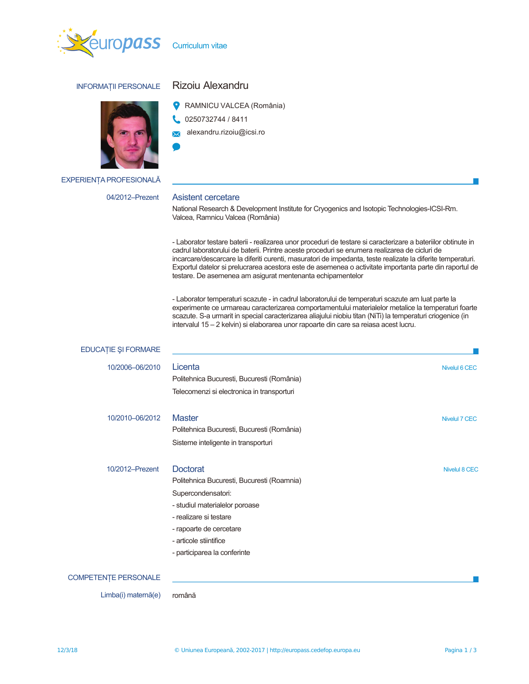

Curriculum vitae

# **INFORMATII PERSONALE**



**EXPERIENȚA PROFESIONALĂ** 

#### 04/2012-Prezent

# Rizoiu Alexandru

RAMNICU VALCEA (România)

- 0250732744 / 8411
- alexandru.rizoiu@icsi.ro  $\overline{\mathbf{X}}$
- 

## Asistent cercetare

National Research & Development Institute for Cryogenics and Isotopic Technologies-ICSI-Rm. Valcea, Ramnicu Valcea (România)

- Laborator testare baterii - realizarea unor proceduri de testare si caracterizare a bateriilor obtinute in cadrul laboratorului de baterii. Printre aceste proceduri se enumera realizarea de cicluri de incarcare/descarcare la diferiti curenti, masuratori de impedanta, teste realizate la diferite temperaturi. Exportul datelor si prelucrarea acestora este de asemenea o activitate importanta parte din raportul de testare. De asemenea am asigurat mentenanta echipamentelor

- Laborator temperaturi scazute - in cadrul laboratorului de temperaturi scazute am luat parte la experimente ce urmareau caracterizarea comportamentului materialelor metalice la temperaturi foarte scazute. S-a urmarit in special caracterizarea aliajului niobiu titan (NiTi) la temperaturi criogenice (in intervalul 15 - 2 kelvin) si elaborarea unor rapoarte din care sa reiasa acest lucru.

| EDUCAȚIE ȘI FORMARE         |                                            |                      |
|-----------------------------|--------------------------------------------|----------------------|
| 10/2006-06/2010             | Licenta                                    | Nivelul 6 CEC        |
|                             | Politehnica Bucuresti, Bucuresti (România) |                      |
|                             | Telecomenzi si electronica in transporturi |                      |
| 10/2010-06/2012             | <b>Master</b>                              | <b>Nivelul 7 CEC</b> |
|                             | Politehnica Bucuresti, Bucuresti (România) |                      |
|                             | Sisteme inteligente in transporturi        |                      |
| 10/2012-Prezent             | <b>Doctorat</b>                            | <b>Nivelul 8 CEC</b> |
|                             | Politehnica Bucuresti, Bucuresti (Roamnia) |                      |
|                             | Supercondensatori:                         |                      |
|                             | - studiul materialelor poroase             |                      |
|                             | - realizare si testare                     |                      |
|                             | - rapoarte de cercetare                    |                      |
|                             | - articole stiintifice                     |                      |
|                             | - participarea la conferinte               |                      |
| <b>COMPETENTE PERSONALE</b> |                                            |                      |
| Limba(i) maternă(e)         | română                                     |                      |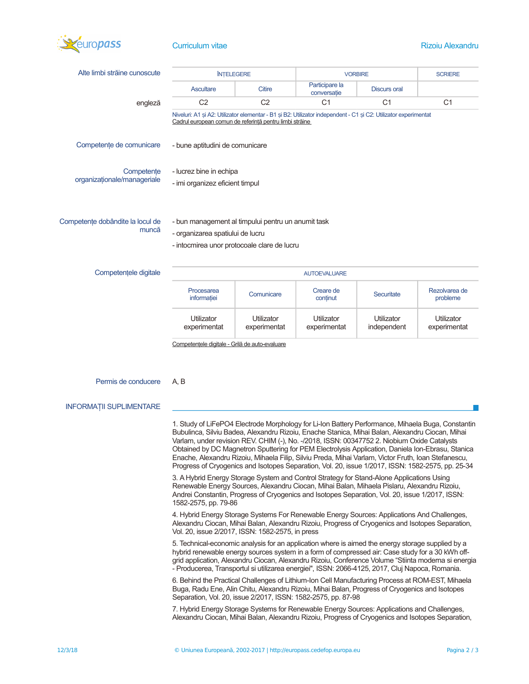

# **Curriculum vitae**

| Alte limbi străine cunoscute              | <b>ÎNTELEGERE</b>                                                                                                                                                          |                | <b>VORBIRE</b>                |                     | <b>SCRIERE</b> |
|-------------------------------------------|----------------------------------------------------------------------------------------------------------------------------------------------------------------------------|----------------|-------------------------------|---------------------|----------------|
|                                           | <b>Ascultare</b>                                                                                                                                                           | <b>Citire</b>  | Participare la<br>conversatie | <b>Discurs oral</b> |                |
| engleză                                   | C <sub>2</sub>                                                                                                                                                             | C <sub>2</sub> | C <sub>1</sub>                | C <sub>1</sub>      | C <sub>1</sub> |
|                                           | Niveluri: A1 și A2: Utilizator elementar - B1 și B2: Utilizator independent - C1 și C2: Utilizator experimentat<br>Cadrul european comun de referință pentru limbi străine |                |                               |                     |                |
| Competente de comunicare                  | - bune aptitudini de comunicare                                                                                                                                            |                |                               |                     |                |
| Competente<br>organizationale/manageriale | - lucrez bine in echipa                                                                                                                                                    |                |                               |                     |                |
|                                           | - imi organizez eficient timpul                                                                                                                                            |                |                               |                     |                |
| Competente dobândite la locul de          | - bun management al timpului pentru un anumit task                                                                                                                         |                |                               |                     |                |
| muncă                                     | - organizarea spatiului de lucru                                                                                                                                           |                |                               |                     |                |
|                                           | - intocmirea unor protocoale clare de lucru                                                                                                                                |                |                               |                     |                |

| Competentele digitale | <b>AUTOEVALUARE</b>        |                            |                            |                           |                            |
|-----------------------|----------------------------|----------------------------|----------------------------|---------------------------|----------------------------|
|                       | Procesarea<br>informatiei  | Comunicare                 | Creare de<br>continut      | Securitate                | Rezolvarea de<br>probleme  |
|                       | Utilizator<br>experimentat | Utilizator<br>experimentat | Utilizator<br>experimentat | Utilizator<br>independent | Utilizator<br>experimentat |

Competențele digitale - Grilă de auto-evaluare

#### Permis de conducere  $A$  $B$

#### **INFORMATII SUPLIMENTARE**

1. Study of LiFePO4 Electrode Morphology for Li-Ion Battery Performance, Mihaela Buga, Constantin Bubulinca, Silviu Badea, Alexandru Rizoiu, Enache Stanica, Mihai Balan, Alexandru Ciocan, Mihai Varlam, under revision REV. CHIM (-), No. -/2018, ISSN: 00347752 2. Niobium Oxide Catalysts Obtained by DC Magnetron Sputtering for PEM Electrolysis Application, Daniela Ion-Ebrasu, Stanica Enache, Alexandru Rizoiu, Mihaela Filip, Silviu Preda, Mihai Varlam, Victor Fruth, Ioan Stefanescu, Progress of Cryogenics and Isotopes Separation, Vol. 20, issue 1/2017, ISSN: 1582-2575, pp. 25-34

3. A Hybrid Energy Storage System and Control Strategy for Stand-Alone Applications Using Renewable Energy Sources, Alexandru Ciocan, Mihai Balan, Mihaela Pislaru, Alexandru Rizoiu, Andrei Constantin, Progress of Cryogenics and Isotopes Separation, Vol. 20, issue 1/2017, ISSN: 1582-2575, pp. 79-86

4. Hybrid Energy Storage Systems For Renewable Energy Sources: Applications And Challenges, Alexandru Ciocan, Mihai Balan, Alexandru Rizoiu, Progress of Cryogenics and Isotopes Separation, Vol. 20, issue 2/2017, ISSN: 1582-2575, in press

5. Technical-economic analysis for an application where is aimed the energy storage supplied by a hybrid renewable energy sources system in a form of compressed air: Case study for a 30 kWh offgrid application, Alexandru Ciocan, Alexandru Rizoiu, Conference Volume "Stiinta moderna si energia - Producerea, Transportul si utilizarea energiei", ISSN: 2066-4125, 2017, Cluj Napoca, Romania.

6. Behind the Practical Challenges of Lithium-Ion Cell Manufacturing Process at ROM-EST, Mihaela Buga, Radu Ene, Alin Chitu, Alexandru Rizoiu, Mihai Balan, Progress of Cryogenics and Isotopes Separation, Vol. 20, issue 2/2017, ISSN: 1582-2575, pp. 87-98

7. Hybrid Energy Storage Systems for Renewable Energy Sources: Applications and Challenges, Alexandru Ciocan, Mihai Balan, Alexandru Rizoiu, Progress of Cryogenics and Isotopes Separation,